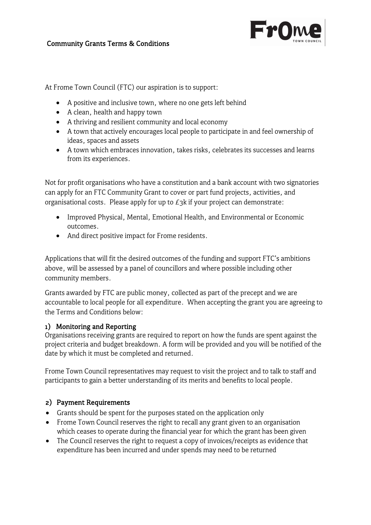

### Community Grants Terms & Conditions

At Frome Town Council (FTC) our aspiration is to support:

- A positive and inclusive town, where no one gets left behind
- A clean, health and happy town
- A thriving and resilient community and local economy
- A town that actively encourages local people to participate in and feel ownership of ideas, spaces and assets
- A town which embraces innovation, takes risks, celebrates its successes and learns from its experiences.

Not for profit organisations who have a constitution and a bank account with two signatories can apply for an FTC Community Grant to cover or part fund projects, activities, and organisational costs. Please apply for up to  $E_3$ k if your project can demonstrate:

- Improved Physical, Mental, Emotional Health, and Environmental or Economic outcomes.
- And direct positive impact for Frome residents.

Applications that will fit the desired outcomes of the funding and support FTC's ambitions above, will be assessed by a panel of councillors and where possible including other community members.

Grants awarded by FTC are public money, collected as part of the precept and we are accountable to local people for all expenditure. When accepting the grant you are agreeing to the Terms and Conditions below:

#### 1) Monitoring and Reporting

Organisations receiving grants are required to report on how the funds are spent against the project criteria and budget breakdown. A form will be provided and you will be notified of the date by which it must be completed and returned.

Frome Town Council representatives may request to visit the project and to talk to staff and participants to gain a better understanding of its merits and benefits to local people.

## 2) Payment Requirements

- Grants should be spent for the purposes stated on the application only
- Frome Town Council reserves the right to recall any grant given to an organisation which ceases to operate during the financial year for which the grant has been given
- The Council reserves the right to request a copy of invoices/receipts as evidence that expenditure has been incurred and under spends may need to be returned